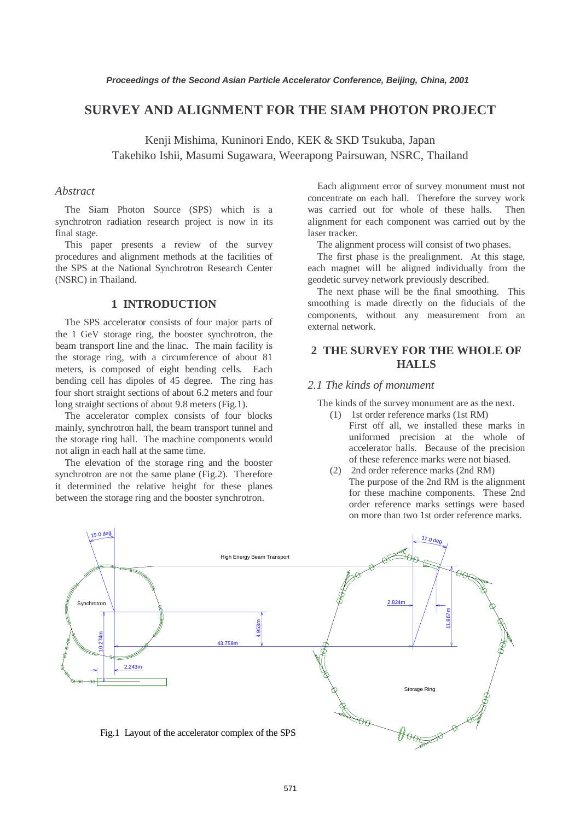# **SURVEY AND ALIGNMENT FOR THE SIAM PHOTON PROJECT**

Kenji Mishima, Kuninori Endo, KEK & SKD Tsukuba, Japan Takehiko Ishii, Masumi Sugawara, Weerapong Pairsuwan, NSRC, Thailand

#### *Abstract*

The Siam Photon Source (SPS) which is a synchrotron radiation research project is now in its final stage.

This paper presents a review of the survey procedures and alignment methods at the facilities of the SPS at the National Synchrotron Research Center (NSRC) in Thailand.

### **1 INTRODUCTION**

The SPS accelerator consists of four major parts of the 1 GeV storage ring, the booster synchrotron, the beam transport line and the linac. The main facility is the storage ring, with a circumference of about 81 meters, is composed of eight bending cells. Each bending cell has dipoles of 45 degree. The ring has four short straight sections of about 6.2 meters and four long straight sections of about 9.8 meters (Fig.1).

The accelerator complex consists of four blocks mainly, synchrotron hall, the beam transport tunnel and the storage ring hall. The machine components would not align in each hall at the same time.

The elevation of the storage ring and the booster synchrotron are not the same plane (Fig.2). Therefore it determined the relative height for these planes between the storage ring and the booster synchrotron.

Each alignment error of survey monument must not concentrate on each hall. Therefore the survey work was carried out for whole of these halls. Then alignment for each component was carried out by the laser tracker.

The alignment process will consist of two phases.

The first phase is the prealignment. At this stage, each magnet will be aligned individually from the geodetic survey network previously described.

The next phase will be the final smoothing. This smoothing is made directly on the fiducials of the components, without any measurement from an external network.

## **2 THE SURVEY FOR THE WHOLE OF HALLS**

#### *2.1 The kinds of monument*

The kinds of the survey monument are as the next.

- (1) 1st order reference marks (1st RM) First off all, we installed these marks in uniformed precision at the whole of accelerator halls. Because of the precision of these reference marks were not biased.
- (2) 2nd order reference marks (2nd RM) The purpose of the 2nd RM is the alignment for these machine components. These 2nd order reference marks settings were based on more than two 1st order reference marks.

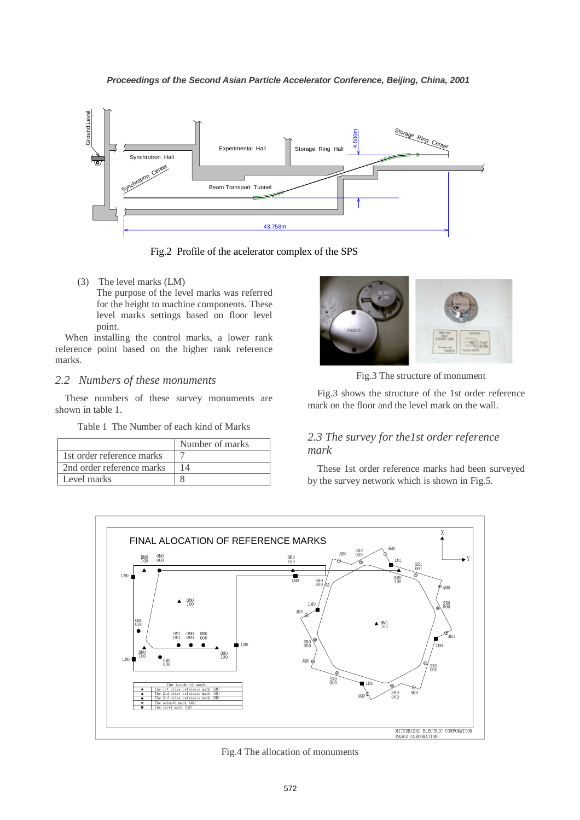

Fig.2 Profile of the acelerator complex of the SPS

(3) The level marks (LM) The purpose of the level marks was referred for the height to machine components. These level marks settings based on floor level point.

When installing the control marks, a lower rank reference point based on the higher rank reference marks.

### *2.2 Numbers of these monuments*

These numbers of these survey monuments are shown in table 1.

Table 1 The Number of each kind of Marks

|                           | Number of marks |
|---------------------------|-----------------|
| 1st order reference marks |                 |
| 2nd order reference marks |                 |
| Level marks               |                 |



Fig.3 The structure of monument

Fig.3 shows the structure of the 1st order reference mark on the floor and the level mark on the wall.

# *2.3 The survey for the1st order reference mark*

These 1st order reference marks had been surveyed by the survey network which is shown in Fig.5.



Fig.4 The allocation of monuments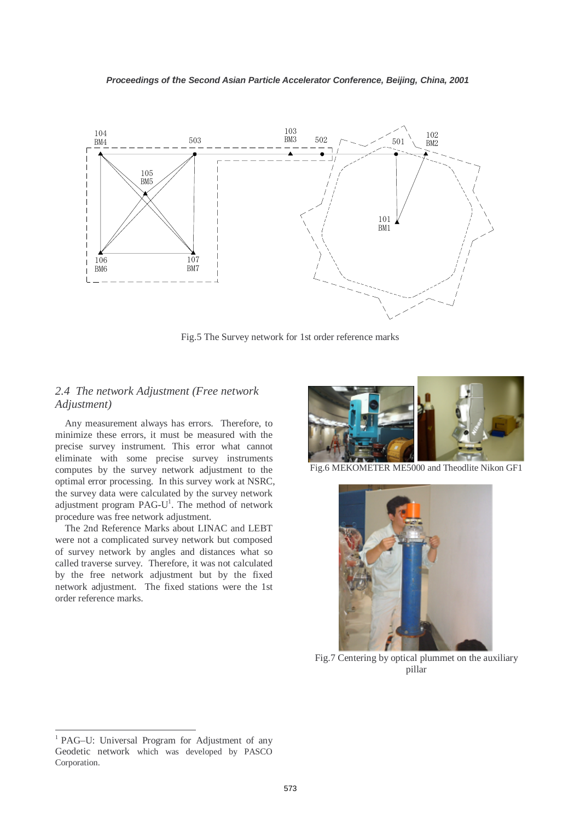

Fig.5 The Survey network for 1st order reference marks

## *2.4 The network Adjustment (Free network Adjustment)*

Any measurement always has errors. Therefore, to minimize these errors, it must be measured with the precise survey instrument. This error what cannot eliminate with some precise survey instruments computes by the survey network adjustment to the optimal error processing. In this survey work at NSRC, the survey data were calculated by the survey network adjustment program PAG- $U<sup>1</sup>$ . The method of network procedure was free network adjustment.

The 2nd Reference Marks about LINAC and LEBT were not a complicated survey network but composed of survey network by angles and distances what so called traverse survey. Therefore, it was not calculated by the free network adjustment but by the fixed network adjustment. The fixed stations were the 1st order reference marks.



Fig.6 MEKOMETER ME5000 and Theodlite Nikon GF1



Fig.7 Centering by optical plummet on the auxiliary pillar

 $\overline{a}$ 

<sup>&</sup>lt;sup>1</sup> PAG–U: Universal Program for Adjustment of any Geodetic network which was developed by PASCO Corporation.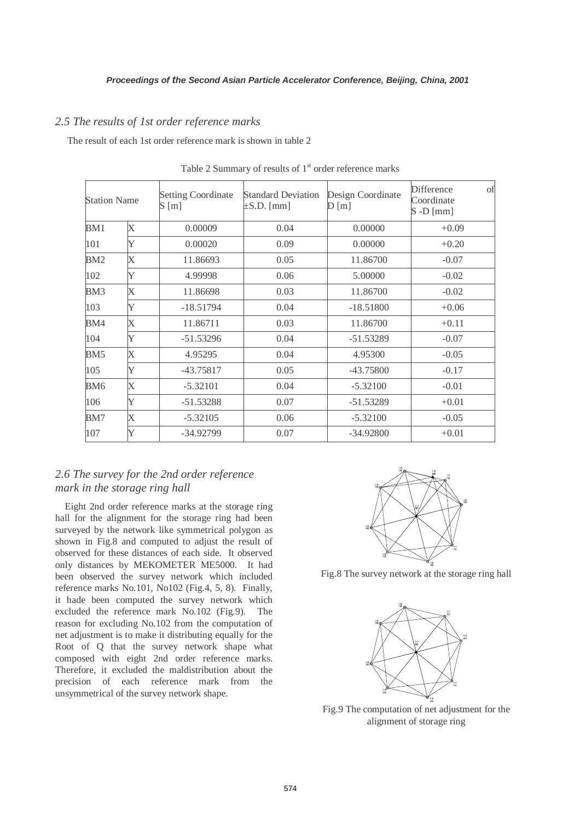## *2.5 The results of 1st order reference marks*

The result of each 1st order reference mark is shown in table 2

| <b>Station Name</b> |                         | <b>Setting Coordinate</b><br>S[m] | <b>Standard Deviation</b><br>$\pm$ S.D. [mm] | Design Coordinate<br>D[m] | Difference<br>Coordinate<br>$S$ -D [mm] | of |
|---------------------|-------------------------|-----------------------------------|----------------------------------------------|---------------------------|-----------------------------------------|----|
| X<br>BM1            |                         | 0.00009                           | 0.04                                         | 0.00000                   | $+0.09$                                 |    |
| 101                 | Y                       | 0.00020                           | 0.09                                         | 0.00000                   | $+0.20$                                 |    |
| BM2                 | $\overline{\mathrm{X}}$ | 11.86693                          | 0.05                                         | 11.86700                  | $-0.07$                                 |    |
| 102                 | Y                       | 4.99998                           | 0.06                                         | 5.00000                   | $-0.02$                                 |    |
| BM3                 | X                       | 11.86698                          | 0.03                                         | 11.86700                  | $-0.02$                                 |    |
| 103                 | Y                       | $-18.51794$                       | 0.04                                         | $-18.51800$               | $+0.06$                                 |    |
| BM4                 | Х                       | 11.86711                          | 0.03                                         | 11.86700                  | $+0.11$                                 |    |
| 104                 | Y                       | $-51.53296$                       | 0.04                                         | $-51.53289$               | $-0.07$                                 |    |
| BM <sub>5</sub>     | X                       | 4.95295                           | 0.04                                         | 4.95300                   | $-0.05$                                 |    |
| 105                 | Y                       | -43.75817                         | 0.05                                         | -43.75800                 | $-0.17$                                 |    |
| BM <sub>6</sub>     | $\overline{\mathrm{X}}$ | $-5.32101$                        | 0.04                                         | $-5.32100$                | $-0.01$                                 |    |
| 106                 | Y                       | $-51.53288$                       | 0.07                                         | $-51.53289$               | $+0.01$                                 |    |
| BM7                 | Х                       | $-5.32105$                        | 0.06                                         | $-5.32100$                | $-0.05$                                 |    |
| 107                 | Y                       | $-34.92799$                       | 0.07                                         | $-34.92800$               | $+0.01$                                 |    |

Table 2 Summary of results of  $1<sup>st</sup>$  order reference marks

## *2.6 The survey for the 2nd order reference mark in the storage ring hall*

Eight 2nd order reference marks at the storage ring hall for the alignment for the storage ring had been surveyed by the network like symmetrical polygon as shown in Fig.8 and computed to adjust the result of observed for these distances of each side. It observed only distances by MEKOMETER ME5000. It had been observed the survey network which included reference marks No.101, No102 (Fig.4, 5, 8). Finally, it hade been computed the survey network which excluded the reference mark No.102 (Fig.9). The reason for excluding No.102 from the computation of net adjustment is to make it distributing equally for the Root of Q that the survey network shape what composed with eight 2nd order reference marks. Therefore, it excluded the maldistribution about the precision of each reference mark from the unsymmetrical of the survey network shape.



Fig.8 The survey network at the storage ring hall



Fig.9 The computation of net adjustment for the alignment of storage ring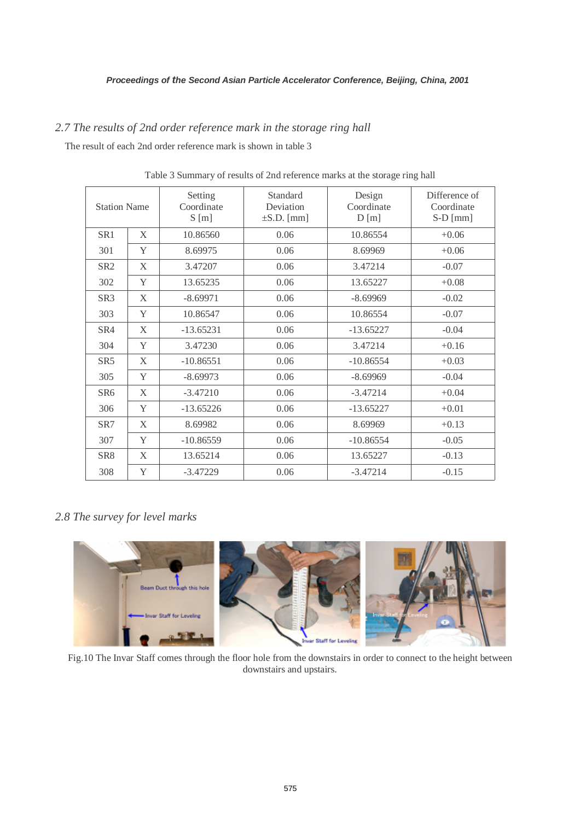# *2.7 The results of 2nd order reference mark in the storage ring hall*

The result of each 2nd order reference mark is shown in table 3

| <b>Station Name</b> |   | Setting<br>Coordinate<br>S[m] | Standard<br>Deviation<br>$\pm$ S.D. [mm] | Design<br>Coordinate<br>D[m] | Difference of<br>Coordinate<br>$S-D$ [mm] |
|---------------------|---|-------------------------------|------------------------------------------|------------------------------|-------------------------------------------|
| SR <sub>1</sub>     | X | 10.86560                      | 0.06                                     | 10.86554                     | $+0.06$                                   |
| 301                 | Y | 8.69975                       | 0.06                                     | 8.69969                      | $+0.06$                                   |
| SR <sub>2</sub>     | X | 3.47207                       | 0.06                                     | 3.47214                      | $-0.07$                                   |
| 302                 | Y | 13.65235                      | 0.06                                     | 13.65227                     | $+0.08$                                   |
| SR <sub>3</sub>     | X | $-8.69971$                    | 0.06                                     | $-8.69969$                   | $-0.02$                                   |
| 303                 | Y | 10.86547                      | 0.06                                     | 10.86554                     | $-0.07$                                   |
| SR4                 | X | $-13.65231$                   | 0.06                                     | $-13.65227$                  | $-0.04$                                   |
| 304                 | Y | 3.47230                       | 0.06                                     | 3.47214                      | $+0.16$                                   |
| SR <sub>5</sub>     | X | $-10.86551$                   | 0.06                                     | $-10.86554$                  | $+0.03$                                   |
| 305                 | Y | $-8.69973$                    | 0.06                                     | $-8.69969$                   | $-0.04$                                   |
| SR <sub>6</sub>     | X | $-3.47210$                    | 0.06                                     | $-3.47214$                   | $+0.04$                                   |
| 306                 | Y | $-13.65226$                   | 0.06                                     | $-13.65227$                  | $+0.01$                                   |
| SR <sub>7</sub>     | X | 8.69982                       | 0.06                                     | 8.69969                      | $+0.13$                                   |
| 307                 | Y | $-10.86559$                   | 0.06                                     | $-10.86554$                  | $-0.05$                                   |
| SR <sub>8</sub>     | X | 13.65214                      | 0.06                                     | 13.65227                     | $-0.13$                                   |
| 308                 | Y | $-3.47229$                    | 0.06                                     | $-3.47214$                   | $-0.15$                                   |

Table 3 Summary of results of 2nd reference marks at the storage ring hall

# *2.8 The survey for level marks*



Fig.10 The Invar Staff comes through the floor hole from the downstairs in order to connect to the height between downstairs and upstairs.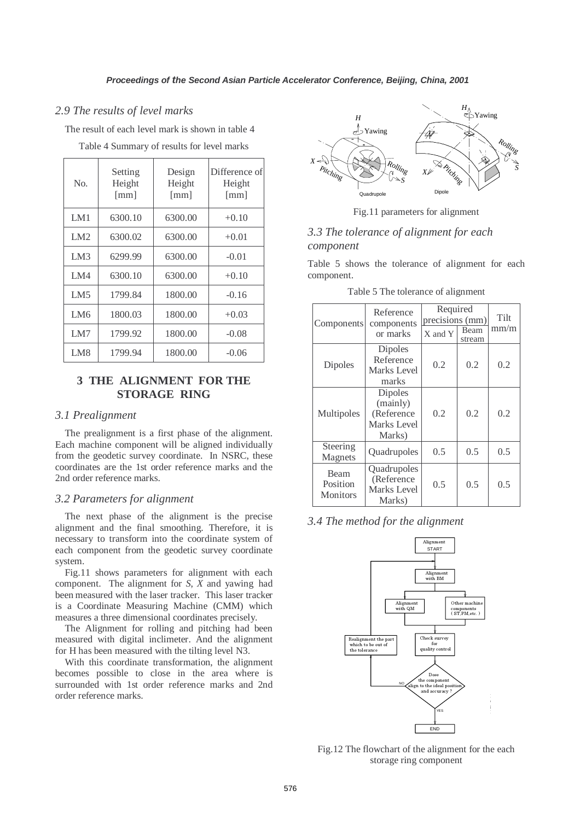#### *2.9 The results of level marks*

The result of each level mark is shown in table 4

| No.             | Setting<br>Height<br>[mm] | Design<br>Height<br>$\lceil$ mm $\rceil$ | Difference of<br>Height<br>$\lceil$ mm $\rceil$ |
|-----------------|---------------------------|------------------------------------------|-------------------------------------------------|
| LM1             | 6300.10                   | 6300.00                                  | $+0.10$                                         |
| LM2             | 6300.02                   | 6300.00                                  | $+0.01$                                         |
| LM3             | 6299.99                   | 6300.00                                  | $-0.01$                                         |
| LM4             | 6300.10                   | 6300.00                                  | $+0.10$                                         |
| LM5             | 1799.84                   | 1800.00                                  | $-0.16$                                         |
| LM <sub>6</sub> | 1800.03                   | 1800.00                                  | $+0.03$                                         |
| LM7             | 1799.92                   | 1800.00                                  | $-0.08$                                         |
| LM8             | 1799.94                   | 1800.00                                  | $-0.06$                                         |

Table 4 Summary of results for level marks

## **3 THE ALIGNMENT FOR THE STORAGE RING**

#### *3.1 Prealignment*

The prealignment is a first phase of the alignment. Each machine component will be aligned individually from the geodetic survey coordinate. In NSRC, these coordinates are the 1st order reference marks and the 2nd order reference marks.

### *3.2 Parameters for alignment*

The next phase of the alignment is the precise alignment and the final smoothing. Therefore, it is necessary to transform into the coordinate system of each component from the geodetic survey coordinate system.

Fig.11 shows parameters for alignment with each component. The alignment for *S*, *X* and yawing had been measured with the laser tracker. This laser tracker is a Coordinate Measuring Machine (CMM) which measures a three dimensional coordinates precisely.

The Alignment for rolling and pitching had been measured with digital inclimeter. And the alignment for H has been measured with the tilting level N3.

With this coordinate transformation, the alignment becomes possible to close in the area where is surrounded with 1st order reference marks and 2nd order reference marks.



Fig.11 parameters for alignment

## *3.3 The tolerance of alignment for each component*

Table 5 shows the tolerance of alignment for each component.

| Table 5 The tolerance of alignment |
|------------------------------------|
|------------------------------------|

| Reference<br>Components<br>components<br>or marks |                                                                   | Required<br>precisions (mm)<br>Beam<br>X and Y<br>stream |     | Tilt<br>mm/m |
|---------------------------------------------------|-------------------------------------------------------------------|----------------------------------------------------------|-----|--------------|
| Dipoles                                           | <b>Dipoles</b><br>Reference<br>Marks Level<br>marks               | 0.2                                                      | 0.2 | 0.2          |
| Multipoles                                        | <b>Dipoles</b><br>(mainly)<br>(Reference<br>Marks Level<br>Marks) | 0.2                                                      | 0.2 | 0.2          |
| Steering<br>Magnets                               | Quadrupoles                                                       | 0.5                                                      | 0.5 | 0.5          |
| <b>Beam</b><br>Position<br><b>Monitors</b>        | Quadrupoles<br>(Reference<br>Marks Level<br>Marks)                | 0.5                                                      | 0.5 | 0.5          |

*3.4 The method for the alignment* 



Fig.12 The flowchart of the alignment for the each storage ring component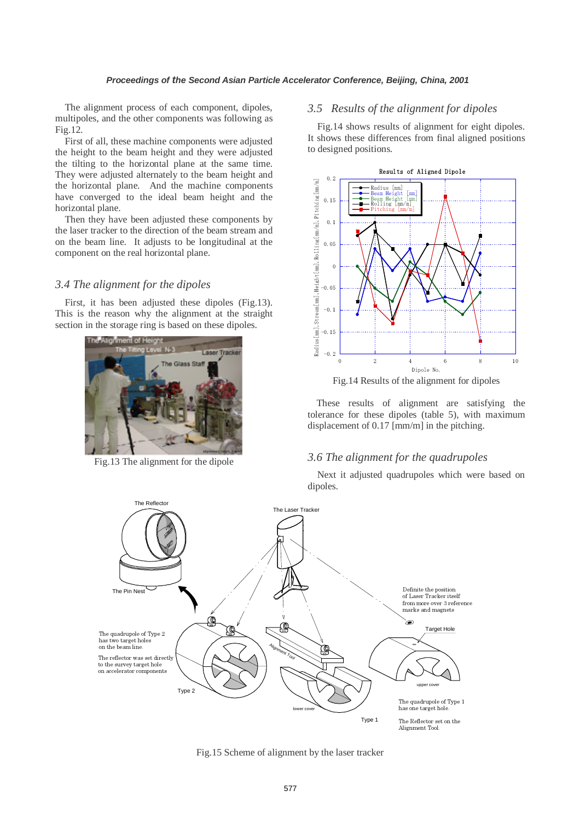The alignment process of each component, dipoles, multipoles, and the other components was following as Fig.12.

First of all, these machine components were adjusted the height to the beam height and they were adjusted the tilting to the horizontal plane at the same time. They were adjusted alternately to the beam height and the horizontal plane. And the machine components have converged to the ideal beam height and the horizontal plane.

Then they have been adjusted these components by the laser tracker to the direction of the beam stream and on the beam line. It adjusts to be longitudinal at the component on the real horizontal plane.

### *3.4 The alignment for the dipoles*

First, it has been adjusted these dipoles (Fig.13). This is the reason why the alignment at the straight section in the storage ring is based on these dipoles.



Fig.13 The alignment for the dipole

### *3.5 Results of the alignment for dipoles*

Fig.14 shows results of alignment for eight dipoles. It shows these differences from final aligned positions to designed positions.





These results of alignment are satisfying the tolerance for these dipoles (table 5), with maximum displacement of 0.17 [mm/m] in the pitching.

### *3.6 The alignment for the quadrupoles*

Next it adjusted quadrupoles which were based on dipoles.



Fig.15 Scheme of alignment by the laser tracker